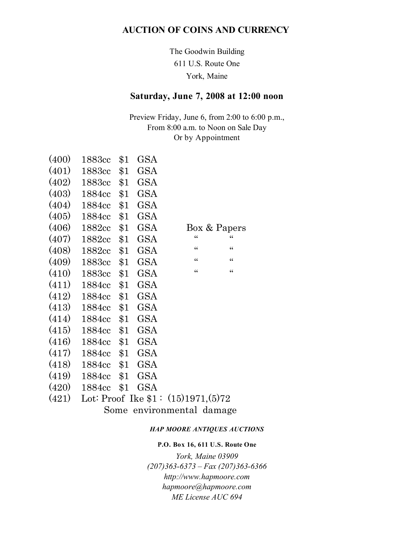### **AUCTION OF COINS AND CURRENCY**

The Goodwin Building 611 U.S. Route One York, Maine

# **Saturday, June 7, 2008 at 12:00 noon**

Preview Friday, June 6, from 2:00 to 6:00 p.m., From 8:00 a.m. to Noon on Sale Day Or by Appointment

| (400) | 1883cc | \$1   | GSA        |                |                |
|-------|--------|-------|------------|----------------|----------------|
| (401) | 1883cc | \$1   | <b>GSA</b> |                |                |
| (402) | 1883cc | \$1   | GSA        |                |                |
| (403) | 1884cc | \$1   | GSA        |                |                |
| (404) | 1884cc | \$1   | GSA        |                |                |
| (405) | 1884cc | \$1   | GSA        |                |                |
| (406) | 1882cc | \$1   | GSA        |                | Box & Papers   |
| (407) | 1882cc | \$1   | GSA        | $\epsilon$     | $\epsilon$     |
| (408) | 1882cc | \$1   | GSA        | $\zeta\,\zeta$ | $\zeta\,\zeta$ |
| (409) | 1883cc | \$1   | GSA        | $\zeta\,\zeta$ | $\zeta\,\zeta$ |
| (410) | 1883cc | \$1   | GSA        | $\zeta\,\zeta$ | $\zeta\,\zeta$ |
| (411) | 1884cc | \$1   | GSA        |                |                |
| (412) | 1884cc | \$1   | GSA        |                |                |
| (413) | 1884cc | \$1   | GSA        |                |                |
| (414) | 1884cc | \$1   | <b>GSA</b> |                |                |
| (415) | 1884cc | \$1   | GSA        |                |                |
| (416) | 1884cc | \$1   | GSA        |                |                |
| (417) | 1884cc | \$1   | GSA        |                |                |
| (418) | 1884cc | \$1   | GSA        |                |                |
| (419) | 1884cc | \$1\$ | GSA        |                |                |
| (420) | 1884cc | \$1   | GSA        |                |                |
|       |        |       |            |                |                |

# (421) Lot: Proof Ike \$1 : (15)1971,(5)72

Some environmental damage

#### *HAP MOORE ANTIQUES AUCTIONS*

#### **P.O. Box 16, 611 U.S. Route One**

*York, Maine 03909 (207)363-6373 – Fax (207)363-6366 http://www.hapmoore.com hapmoore@hapmoore.com ME License AUC 694*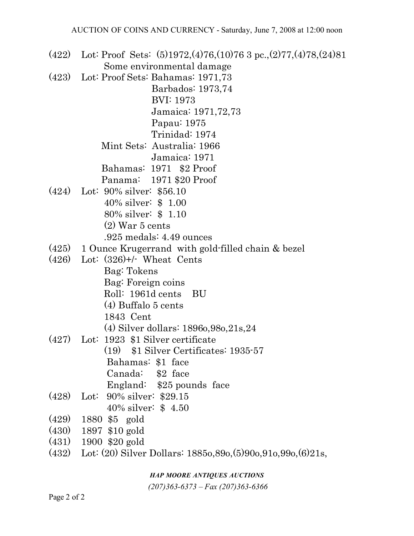(422) Lot: Proof Sets: (5)1972,(4)76,(10)76 3 pc.,(2)77,(4)78,(24)81 Some environmental damage

(423) Lot: Proof Sets: Bahamas: 1971,73

 Barbados: 1973,74 BVI: 1973 Jamaica: 1971,72,73

Papau: 1975

Trinidad: 1974

 Mint Sets: Australia: 1966 Jamaica: 1971

Bahamas: 1971 \$2 Proof

- Panama: 1971 \$20 Proof
- (424) Lot: 90% silver: \$56.10 40% silver: \$ 1.00
	- 80% silver: \$ 1.10
	- (2) War 5 cents
	- .925 medals: 4.49 ounces
- (425) 1 Ounce Krugerrand with gold-filled chain & bezel
- (426) Lot: (326)+/- Wheat Cents
	- Bag: Tokens
	- Bag: Foreign coins
	- Roll: 1961d cents BU
	- (4) Buffalo 5 cents
	- 1843 Cent
	- (4) Silver dollars: 1896o,98o,21s,24
- (427) Lot: 1923 \$1 Silver certificate (19) \$1 Silver Certificates: 1935-57 Bahamas: \$1 face
	-
	- Canada: \$2 face
	- England: \$25 pounds face
- (428) Lot: 90% silver: \$29.15 40% silver: \$ 4.50
- (429) 1880 \$5 gold
- (430) 1897 \$10 gold
- (431) 1900 \$20 gold
- (432) Lot: (20) Silver Dollars: 1885o,89o,(5)90o,91o,99o,(6)21s,

### *HAP MOORE ANTIQUES AUCTIONS*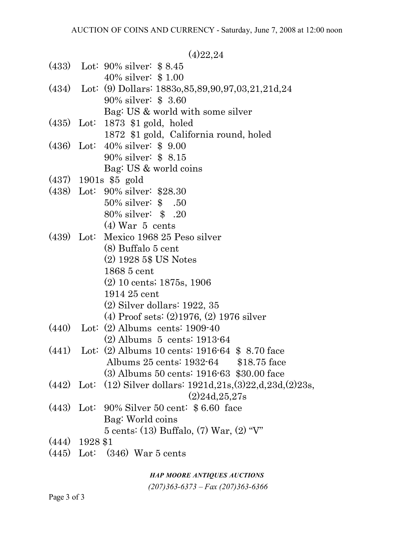$(A)$ 22,24

|  |                  | \\\/4,4\                                                                 |
|--|------------------|--------------------------------------------------------------------------|
|  |                  | $(433)$ Lot: 90% silver: \$8.45                                          |
|  |                  | 40\% silver: $$1.00$                                                     |
|  |                  | $(434)$ Lot: (9) Dollars: 1883o, 85, 89, 90, 97, 03, 21, 21d, 24         |
|  |                  | 90% silver: \$3.60                                                       |
|  |                  | Bag: US & world with some silver                                         |
|  |                  | $(435)$ Lot: 1873 \$1 gold, holed                                        |
|  |                  | 1872 \$1 gold, California round, holed                                   |
|  |                  | $(436)$ Lot: $40\%$ silver: \$ 9.00                                      |
|  |                  | 90% silver: \$8.15                                                       |
|  |                  | Bag: US & world coins                                                    |
|  |                  | $(437)$ 1901s \$5 gold                                                   |
|  |                  | (438) Lot: 90% silver: \$28.30                                           |
|  |                  | 50% silver: \$ .50                                                       |
|  |                  | 80% silver: \$ .20                                                       |
|  |                  | $(4)$ War 5 cents                                                        |
|  |                  | (439) Lot: Mexico 1968 25 Peso silver                                    |
|  |                  | (8) Buffalo 5 cent                                                       |
|  |                  | $(2)$ 1928 5\$ US Notes                                                  |
|  |                  | 1868 5 cent                                                              |
|  |                  | $(2)$ 10 cents; 1875s, 1906                                              |
|  |                  | 1914 25 cent                                                             |
|  |                  | $(2)$ Silver dollars: 1922, 35                                           |
|  |                  | $(4)$ Proof sets: $(2)$ 1976, $(2)$ 1976 silver                          |
|  |                  | $(440)$ Lot: $(2)$ Albums cents: 1909-40                                 |
|  |                  | $(2)$ Albums 5 cents: 1913-64                                            |
|  |                  | $(441)$ Lot: $(2)$ Albums 10 cents: 1916-64 \$ 8.70 face                 |
|  |                  | Albums 25 cents: 1932-64 \$18.75 face                                    |
|  |                  | (3) Albums 50 cents: 1916-63 \$30.00 face                                |
|  |                  | $(442)$ Lot: $(12)$ Silver dollars: $1921d, 21s, (3)22, d, 23d, (2)23s,$ |
|  |                  | (2)24d, 25, 27s                                                          |
|  |                  | $(443)$ Lot: 90% Silver 50 cent: \$6.60 face                             |
|  |                  | Bag: World coins                                                         |
|  |                  | 5 cents: (13) Buffalo, (7) War, (2) "V"                                  |
|  | $(444)$ 1928 \$1 |                                                                          |
|  |                  | $(445)$ Lot: $(346)$ War 5 cents                                         |
|  |                  |                                                                          |

*HAP MOORE ANTIQUES AUCTIONS*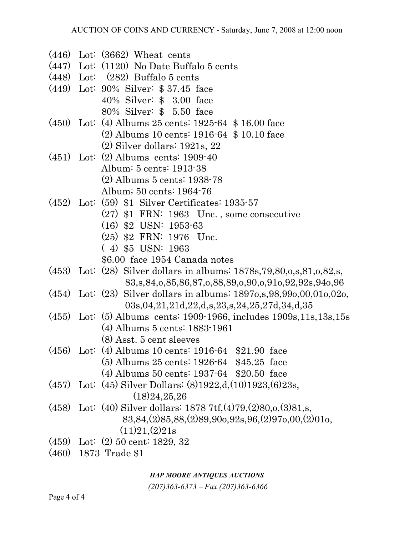- (446) Lot: (3662) Wheat cents
- (447) Lot: (1120) No Date Buffalo 5 cents
- (448) Lot: (282) Buffalo 5 cents
- (449) Lot: 90% Silver: \$ 37.45 face 40% Silver: \$ 3.00 face 80% Silver: \$ 5.50 face
- (450) Lot: (4) Albums 25 cents: 1925-64 \$ 16.00 face
	- (2) Albums 10 cents: 1916-64 \$ 10.10 face
	- (2) Silver dollars: 1921s, 22
- (451) Lot: (2) Albums cents: 1909-40 Album: 5 cents: 1913-38 (2) Albums 5 cents: 1938-78 Album; 50 cents: 1964-76
- (452) Lot: (59) \$1 Silver Certificates: 1935-57
	- (27) \$1 FRN: 1963 Unc. , some consecutive
	- (16) \$2 USN: 1953-63
	- (25) \$2 FRN: 1976 Unc.
	- ( 4) \$5 USN: 1963
	- \$6.00 face 1954 Canada notes
- (453) Lot: (28) Silver dollars in albums: 1878s,79,80,o,s,81,o,82,s, 83,s,84,o,85,86,87,o,88,89,o,90,o,91o,92,92s,94o,96
- (454) Lot: (23) Silver dollars in albums: 1897o,s,98,99o,00,01o,02o, 03s,04,21,21d,22,d,s,23,s,24,25,27d,34,d,35
- (455) Lot: (5) Albums cents: 1909-1966, includes 1909s,11s,13s,15s
	- (4) Albums 5 cents: 1883-1961
	- (8) Asst. 5 cent sleeves
- (456) Lot: (4) Albums 10 cents: 1916-64 \$21.90 face
	- (5) Albums 25 cents: 1926-64 \$45.25 face
	- (4) Albums 50 cents: 1937-64 \$20.50 face
- (457) Lot: (45) Silver Dollars: (8)1922,d,(10)1923,(6)23s, (18)24,25,26
- (458) Lot: (40) Silver dollars: 1878 7tf,(4)79,(2)80,o,(3)81,s, 83,84,(2)85,88,(2)89,90o,92s,96,(2)97o,00,(2)01o,  $(11)21,(2)21s$
- (459) Lot: (2) 50 cent: 1829, 32
- (460) 1873 Trade \$1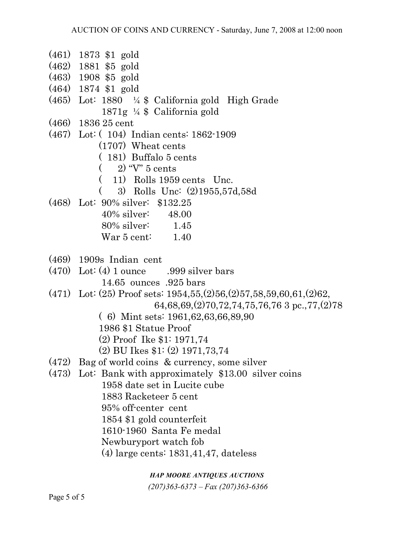- (461) 1873 \$1 gold
- (462) 1881 \$5 gold
- (463) 1908 \$5 gold
- (464) 1874 \$1 gold
- (465) Lot: 1880 ¼ \$ California gold High Grade 1871g ¼ \$ California gold
- (466) 1836 25 cent
- (467) Lot: ( 104) Indian cents: 1862-1909
	- (1707) Wheat cents
	- ( 181) Buffalo 5 cents
	- $(2)$  "V"  $5$  cents
	- ( 11) Rolls 1959 cents Unc.
	- ( 3) Rolls Unc: (2)1955,57d,58d
- (468) Lot: 90% silver: \$132.25
	- 40% silver: 48.00 80% silver: 1.45
	- War 5 cent: 1.40
- (469) 1909s Indian cent
- $(470)$  Lot:  $(4)$  1 ounce .999 silver bars
	- 14.65 ounces .925 bars
- (471) Lot: (25) Proof sets: 1954,55,(2)56,(2)57,58,59,60,61,(2)62,
	- 64,68,69,(2)70,72,74,75,76,76 3 pc.,77,(2)78
	- ( 6) Mint sets: 1961,62,63,66,89,90
	- 1986 \$1 Statue Proof
	- (2) Proof Ike \$1: 1971,74
	- (2) BU Ikes \$1: (2) 1971,73,74
- (472) Bag of world coins & currency, some silver
- (473) Lot: Bank with approximately \$13.00 silver coins 1958 date set in Lucite cube 1883 Racketeer 5 cent 95% off-center cent

1854 \$1 gold counterfeit

1610-1960 Santa Fe medal

- Newburyport watch fob
- (4) large cents: 1831,41,47, dateless

# *HAP MOORE ANTIQUES AUCTIONS*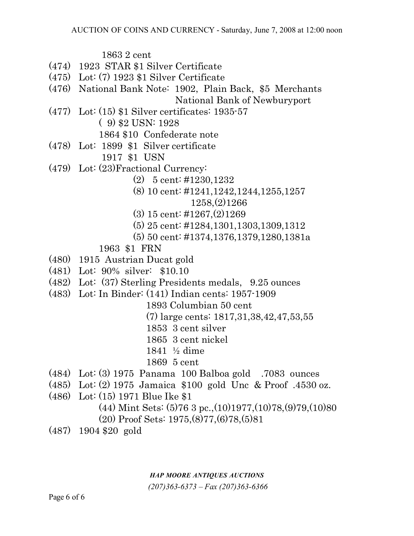1863 2 cent

- (474) 1923 STAR \$1 Silver Certificate
- (475) Lot: (7) 1923 \$1 Silver Certificate
- (476) National Bank Note: 1902, Plain Back, \$5 Merchants National Bank of Newburyport
- (477) Lot: (15) \$1 Silver certificates: 1935-57 ( 9) \$2 USN: 1928
	- 1864 \$10 Confederate note
- (478) Lot: 1899 \$1 Silver certificate 1917 \$1 USN
- (479) Lot: (23)Fractional Currency:
	- (2) 5 cent: #1230,1232
	- (8) 10 cent: #1241,1242,1244,1255,1257 1258,(2)1266
	- (3) 15 cent: #1267,(2)1269
	- (5) 25 cent: #1284,1301,1303,1309,1312
	- (5) 50 cent: #1374,1376,1379,1280,1381a
	- 1963 \$1 FRN
- (480) 1915 Austrian Ducat gold
- (481) Lot: 90% silver: \$10.10
- (482) Lot: (37) Sterling Presidents medals, 9.25 ounces
- (483) Lot: In Binder: (141) Indian cents: 1957-1909
	- 1893 Columbian 50 cent
		- (7) large cents: 1817,31,38,42,47,53,55
		- 1853 3 cent silver
		- 1865 3 cent nickel
		- 1841 ½ dime
		- 1869 5 cent
- (484) Lot: (3) 1975 Panama 100 Balboa gold .7083 ounces
- (485) Lot: (2) 1975 Jamaica \$100 gold Unc & Proof .4530 oz.
- (486) Lot: (15) 1971 Blue Ike \$1
	- $(44)$  Mint Sets:  $(5)76$  3 pc., $(10)1977$ , $(10)78$ , $(9)79$ , $(10)80$
	- (20) Proof Sets: 1975,(8)77,(6)78,(5)81
- (487) 1904 \$20 gold

# *HAP MOORE ANTIQUES AUCTIONS*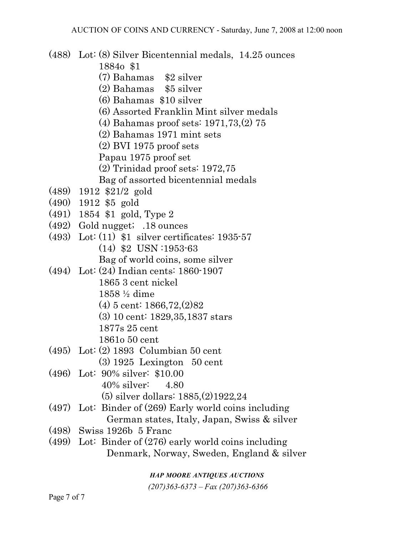(488) Lot: (8) Silver Bicentennial medals, 14.25 ounces 1884o \$1 (7) Bahamas \$2 silver (2) Bahamas \$5 silver (6) Bahamas \$10 silver (6) Assorted Franklin Mint silver medals (4) Bahamas proof sets: 1971,73,(2) 75 (2) Bahamas 1971 mint sets (2) BVI 1975 proof sets Papau 1975 proof set (2) Trinidad proof sets: 1972,75 Bag of assorted bicentennial medals (489) 1912 \$21/2 gold (490) 1912 \$5 gold (491) 1854 \$1 gold, Type 2 (492) Gold nugget; .18 ounces (493) Lot: (11) \$1 silver certificates: 1935-57 (14) \$2 USN :1953-63 Bag of world coins, some silver (494) Lot: (24) Indian cents: 1860-1907 1865 3 cent nickel 1858 ½ dime (4) 5 cent: 1866,72,(2)82 (3) 10 cent: 1829,35,1837 stars 1877s 25 cent 1861o 50 cent (495) Lot: (2) 1893 Columbian 50 cent (3) 1925 Lexington 50 cent (496) Lot: 90% silver: \$10.00 40% silver: 4.80 (5) silver dollars: 1885,(2)1922,24 (497) Lot: Binder of (269) Early world coins including German states, Italy, Japan, Swiss & silver (498) Swiss 1926b 5 Franc (499) Lot: Binder of (276) early world coins including Denmark, Norway, Sweden, England & silver

*HAP MOORE ANTIQUES AUCTIONS*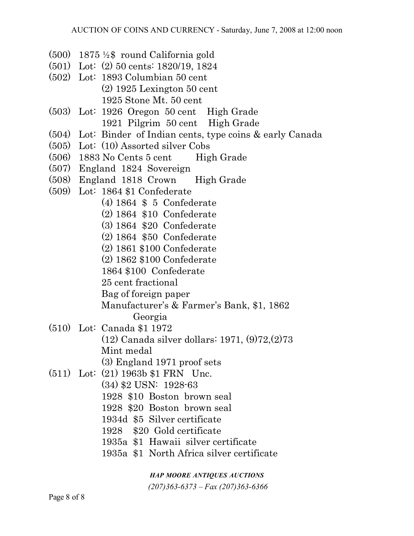- (500) 1875 ½\$ round California gold
- (501) Lot: (2) 50 cents: 1820/19, 1824
- (502) Lot: 1893 Columbian 50 cent (2) 1925 Lexington 50 cent 1925 Stone Mt. 50 cent
- (503) Lot: 1926 Oregon 50 cent High Grade 1921 Pilgrim 50 cent High Grade
- (504) Lot: Binder of Indian cents, type coins & early Canada
- (505) Lot: (10) Assorted silver Cobs
- $(506)$  1883 No Cents 5 cent High Grade
- (507) England 1824 Sovereign
- (508) England 1818 Crown High Grade
- (509) Lot: 1864 \$1 Confederate
	- (4) 1864 \$ 5 Confederate
	- (2) 1864 \$10 Confederate
	- (3) 1864 \$20 Confederate
	- (2) 1864 \$50 Confederate
	- (2) 1861 \$100 Confederate
	- (2) 1862 \$100 Confederate

1864 \$100 Confederate

25 cent fractional

Bag of foreign paper

- Manufacturer's & Farmer's Bank, \$1, 1862 Georgia
- (510) Lot: Canada \$1 1972 (12) Canada silver dollars: 1971, (9)72,(2)73 Mint medal (3) England 1971 proof sets
- (511) Lot: (21) 1963b \$1 FRN Unc. (34) \$2 USN: 1928-63 1928 \$10 Boston brown seal
	-
	- 1928 \$20 Boston brown seal
	- 1934d \$5 Silver certificate
	- 1928 \$20 Gold certificate
	- 1935a \$1 Hawaii silver certificate
	- 1935a \$1 North Africa silver certificate

*HAP MOORE ANTIQUES AUCTIONS*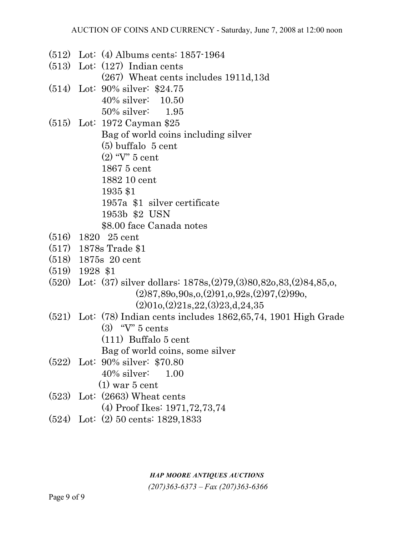- (512) Lot: (4) Albums cents: 1857-1964
- (513) Lot: (127) Indian cents (267) Wheat cents includes 1911d,13d
- (514) Lot: 90% silver: \$24.75
	- 40% silver: 10.50
	- 50% silver: 1.95
- (515) Lot: 1972 Cayman \$25

Bag of world coins including silver

(5) buffalo 5 cent

(2) "V" 5 cent

1867 5 cent

1882 10 cent

- 1935 \$1
- 1957a \$1 silver certificate
- 1953b \$2 USN
- \$8.00 face Canada notes
- (516) 1820 25 cent
- (517) 1878s Trade \$1
- (518) 1875s 20 cent
- (519) 1928 \$1
- (520) Lot: (37) silver dollars: 1878s,(2)79,(3)80,82o,83,(2)84,85,o,  $(2)87,890,90s,0,(2)91,0,92s,(2)97, (2)990,$ 
	- $(2)010,(2)21s,22,(3)23,d,24,35$
- (521) Lot: (78) Indian cents includes 1862,65,74, 1901 High Grade (3) "V" 5 cents
	-
	- (111) Buffalo 5 cent
	- Bag of world coins, some silver
- (522) Lot: 90% silver: \$70.80
	- 40% silver: 1.00
	- $(1)$  war 5 cent
- (523) Lot: (2663) Wheat cents
	- (4) Proof Ikes: 1971,72,73,74
- (524) Lot: (2) 50 cents: 1829,1833

#### *HAP MOORE ANTIQUES AUCTIONS*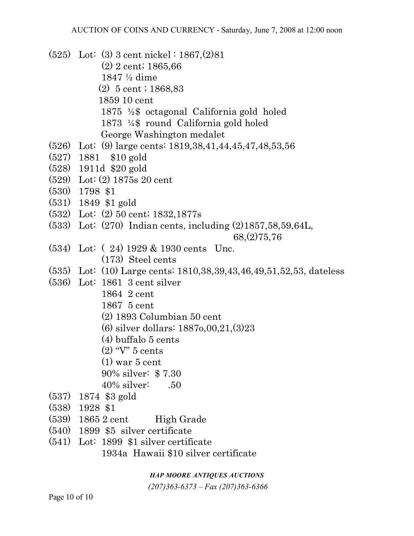(525) Lot: (3) 3 cent nickel : 1867,(2)81 (2) 2 cent; 1865,66 1847 ½ dime (2) 5 cent ; 1868,83 1859 10 cent 1875 ½\$ octagonal California gold holed 1873 ¼\$ round California gold holed George Washington medalet (526) Lot: (9) large cents: 1819,38,41,44,45,47,48,53,56 (527) 1881 \$10 gold (528) 1911d \$20 gold (529) Lot: (2) 1875s 20 cent (530) 1798 \$1 (531) 1849 \$1 gold (532) Lot: (2) 50 cent; 1832,1877s (533) Lot: (270) Indian cents, including (2)1857,58,59,64L, 68,(2)75,76 (534) Lot: ( 24) 1929 & 1930 cents Unc. (173) Steel cents (535) Lot: (10) Large cents: 1810,38,39,43,46,49,51,52,53, dateless (536) Lot: 1861 3 cent silver 1864 2 cent 1867 5 cent (2) 1893 Columbian 50 cent (6) silver dollars: 1887o,00,21,(3)23 (4) buffalo 5 cents (2) "V" 5 cents (1) war 5 cent 90% silver: \$ 7.30 40% silver: .50 (537) 1874 \$3 gold (538) 1928 \$1 (539) 1865 2 cent High Grade (540) 1899 \$5 silver certificate (541) Lot: 1899 \$1 silver certificate

1934a Hawaii \$10 silver certificate

### *HAP MOORE ANTIQUES AUCTIONS*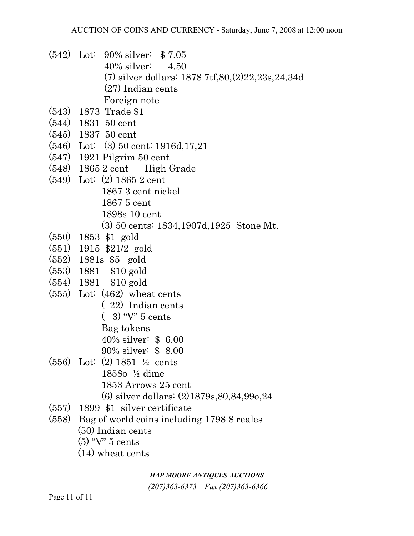- (542) Lot: 90% silver: \$ 7.05 40% silver: 4.50 (7) silver dollars: 1878 7tf,80,(2)22,23s,24,34d (27) Indian cents Foreign note
- (543) 1873 Trade \$1
- (544) 1831 50 cent
- (545) 1837 50 cent
- (546) Lot: (3) 50 cent: 1916d,17,21
- (547) 1921 Pilgrim 50 cent
- (548) 1865 2 cent High Grade
- (549) Lot: (2) 1865 2 cent
	- 1867 3 cent nickel
	- 1867 5 cent
	- 1898s 10 cent
	- (3) 50 cents: 1834,1907d,1925 Stone Mt.
- (550) 1853 \$1 gold
- (551) 1915 \$21/2 gold
- (552) 1881s \$5 gold
- (553) 1881 \$10 gold
- (554) 1881 \$10 gold
- (555) Lot: (462) wheat cents
	- ( 22) Indian cents
	- ( 3) "V" 5 cents
	- Bag tokens
	- 40% silver: \$ 6.00
	- 90% silver: \$ 8.00
- (556) Lot: (2) 1851 ½ cents 1858o ½ dime 1853 Arrows 25 cent (6) silver dollars: (2)1879s,80,84,99o,24
- (557) 1899 \$1 silver certificate
- (558) Bag of world coins including 1798 8 reales (50) Indian cents
	- (5) "V" 5 cents
	- (14) wheat cents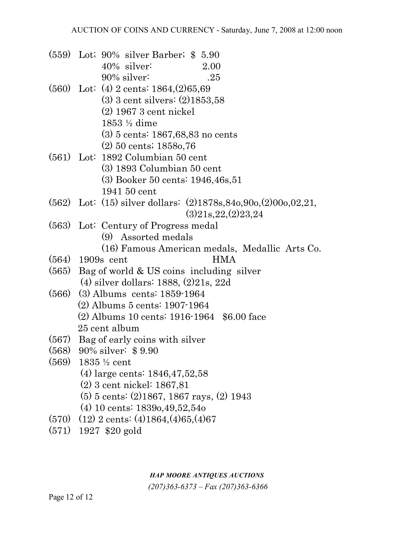- (559) Lot; 90% silver Barber; \$ 5.90 40% silver: 2.00 90% silver: .25
- (560) Lot: (4) 2 cents: 1864,(2)65,69 (3) 3 cent silvers: (2)1853,58
	- (2) 1967 3 cent nickel
	- 1853 ½ dime
	- (3) 5 cents: 1867,68,83 no cents
	- (2) 50 cents; 1858o,76
- (561) Lot: 1892 Columbian 50 cent
	- (3) 1893 Columbian 50 cent
	- (3) Booker 50 cents: 1946,46s,51
	- 1941 50 cent
- (562) Lot: (15) silver dollars: (2)1878s,84o,90o,(2)00o,02,21,  $(3)21s,22(2)23,24$
- (563) Lot: Century of Progress medal
	- (9) Assorted medals
	- (16) Famous American medals, Medallic Arts Co.
- (564) 1909s cent HMA
- (565) Bag of world & US coins including silver (4) silver dollars: 1888, (2)21s, 22d
- (566) (3) Albums cents: 1859-1964 (2) Albums 5 cents: 1907-1964 (2) Albums 10 cents: 1916-1964 \$6.00 face 25 cent album
- (567) Bag of early coins with silver
- (568) 90% silver: \$ 9.90
- (569) 1835 ½ cent
	- (4) large cents: 1846,47,52,58
	- (2) 3 cent nickel: 1867,81
	- (5) 5 cents: (2)1867, 1867 rays, (2) 1943
	- (4) 10 cents: 1839o,49,52,54o
- (570) (12) 2 cents: (4)1864,(4)65,(4)67
- (571) 1927 \$20 gold